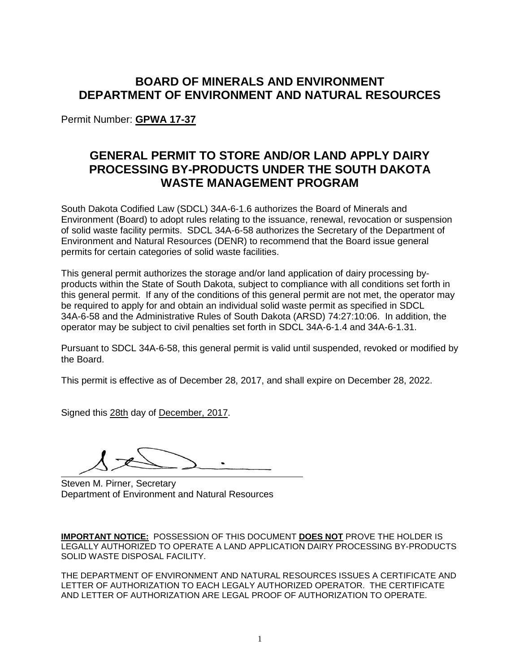# **BOARD OF MINERALS AND ENVIRONMENT DEPARTMENT OF ENVIRONMENT AND NATURAL RESOURCES**

Permit Number: **GPWA 17-37**

# **GENERAL PERMIT TO STORE AND/OR LAND APPLY DAIRY PROCESSING BY-PRODUCTS UNDER THE SOUTH DAKOTA WASTE MANAGEMENT PROGRAM**

South Dakota Codified Law (SDCL) 34A-6-1.6 authorizes the Board of Minerals and Environment (Board) to adopt rules relating to the issuance, renewal, revocation or suspension of solid waste facility permits. SDCL 34A-6-58 authorizes the Secretary of the Department of Environment and Natural Resources (DENR) to recommend that the Board issue general permits for certain categories of solid waste facilities.

This general permit authorizes the storage and/or land application of dairy processing byproducts within the State of South Dakota, subject to compliance with all conditions set forth in this general permit. If any of the conditions of this general permit are not met, the operator may be required to apply for and obtain an individual solid waste permit as specified in SDCL 34A-6-58 and the Administrative Rules of South Dakota (ARSD) 74:27:10:06. In addition, the operator may be subject to civil penalties set forth in SDCL 34A-6-1.4 and 34A-6-1.31.

Pursuant to SDCL 34A-6-58, this general permit is valid until suspended, revoked or modified by the Board.

This permit is effective as of December 28, 2017, and shall expire on December 28, 2022.

Signed this 28th day of December, 2017.

Steven M. Pirner, Secretary Department of Environment and Natural Resources

**IMPORTANT NOTICE:** POSSESSION OF THIS DOCUMENT **DOES NOT** PROVE THE HOLDER IS LEGALLY AUTHORIZED TO OPERATE A LAND APPLICATION DAIRY PROCESSING BY-PRODUCTS SOLID WASTE DISPOSAL FACILITY.

THE DEPARTMENT OF ENVIRONMENT AND NATURAL RESOURCES ISSUES A CERTIFICATE AND LETTER OF AUTHORIZATION TO EACH LEGALY AUTHORIZED OPERATOR. THE CERTIFICATE AND LETTER OF AUTHORIZATION ARE LEGAL PROOF OF AUTHORIZATION TO OPERATE.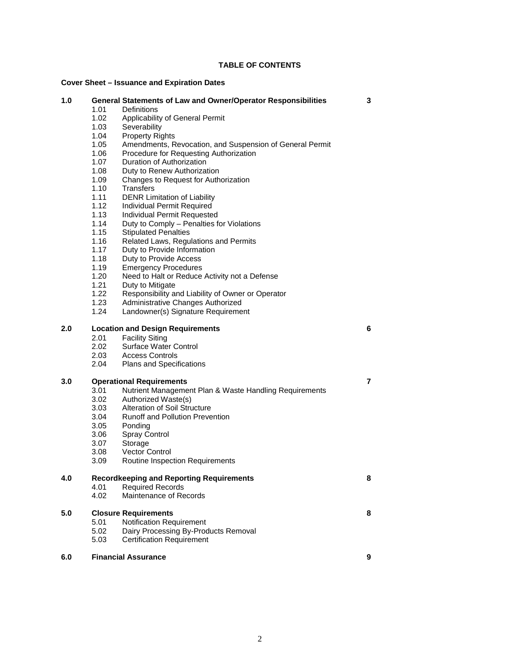### **TABLE OF CONTENTS**

# **Cover Sheet – Issuance and Expiration Dates**

| <b>Cover Sheet – Issuance and Expiration Dates</b> |                                                 |                                                                      |   |
|----------------------------------------------------|-------------------------------------------------|----------------------------------------------------------------------|---|
| 1.0                                                |                                                 | <b>General Statements of Law and Owner/Operator Responsibilities</b> | 3 |
|                                                    | 1.01                                            | Definitions                                                          |   |
|                                                    | 1.02<br>1.03                                    | Applicability of General Permit                                      |   |
|                                                    | 1.04                                            | Severability<br><b>Property Rights</b>                               |   |
|                                                    | 1.05                                            | Amendments, Revocation, and Suspension of General Permit             |   |
|                                                    | 1.06                                            | Procedure for Requesting Authorization                               |   |
|                                                    | 1.07                                            | Duration of Authorization                                            |   |
|                                                    | 1.08                                            | Duty to Renew Authorization                                          |   |
|                                                    | 1.09                                            | Changes to Request for Authorization                                 |   |
|                                                    | 1.10                                            | Transfers                                                            |   |
|                                                    | 1.11                                            | <b>DENR Limitation of Liability</b>                                  |   |
|                                                    | 1.12                                            | Individual Permit Required                                           |   |
|                                                    | 1.13                                            | Individual Permit Requested                                          |   |
|                                                    | 1.14                                            | Duty to Comply - Penalties for Violations                            |   |
|                                                    | 1.15                                            | <b>Stipulated Penalties</b>                                          |   |
|                                                    | 1.16                                            | Related Laws, Regulations and Permits                                |   |
|                                                    | 1.17                                            | Duty to Provide Information                                          |   |
|                                                    | 1.18                                            | Duty to Provide Access                                               |   |
|                                                    | 1.19                                            | <b>Emergency Procedures</b>                                          |   |
|                                                    | 1.20                                            | Need to Halt or Reduce Activity not a Defense                        |   |
|                                                    | 1.21                                            | Duty to Mitigate                                                     |   |
|                                                    | 1.22                                            | Responsibility and Liability of Owner or Operator                    |   |
|                                                    | 1.23                                            | Administrative Changes Authorized                                    |   |
|                                                    | 1.24                                            | Landowner(s) Signature Requirement                                   |   |
| 2.0                                                | <b>Location and Design Requirements</b>         |                                                                      | 6 |
|                                                    | 2.01                                            | <b>Facility Siting</b>                                               |   |
|                                                    | 2.02                                            | Surface Water Control                                                |   |
|                                                    | 2.03                                            | <b>Access Controls</b>                                               |   |
|                                                    | 2.04                                            | Plans and Specifications                                             |   |
| 3.0                                                | <b>Operational Requirements</b>                 |                                                                      | 7 |
|                                                    | 3.01                                            | Nutrient Management Plan & Waste Handling Requirements               |   |
|                                                    | 3.02                                            | Authorized Waste(s)                                                  |   |
|                                                    | 3.03                                            | <b>Alteration of Soil Structure</b>                                  |   |
|                                                    | 3.04                                            | <b>Runoff and Pollution Prevention</b>                               |   |
|                                                    | 3.05                                            | Ponding                                                              |   |
|                                                    | 3.06                                            | <b>Spray Control</b>                                                 |   |
|                                                    | 3.07                                            | Storage                                                              |   |
|                                                    | 3.08                                            | Vector Control                                                       |   |
|                                                    | 3.09                                            | Routine Inspection Requirements                                      |   |
| 4.0                                                | <b>Recordkeeping and Reporting Requirements</b> |                                                                      | 8 |
|                                                    | 4.01                                            | <b>Required Records</b>                                              |   |
|                                                    | 4.02                                            | Maintenance of Records                                               |   |
| 5.0                                                | <b>Closure Requirements</b>                     |                                                                      | 8 |
|                                                    | 5.01                                            | Notification Requirement                                             |   |
|                                                    | 5.02                                            | Dairy Processing By-Products Removal                                 |   |
|                                                    | 5.03                                            | <b>Certification Requirement</b>                                     |   |
| 6.0                                                |                                                 | <b>Financial Assurance</b>                                           | 9 |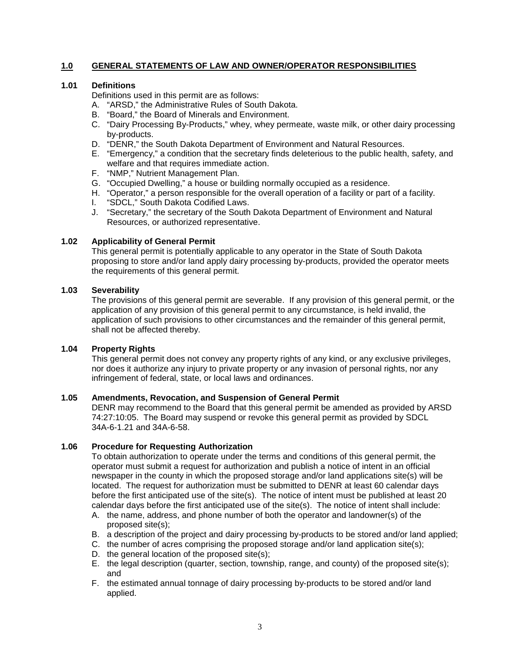# **1.0 GENERAL STATEMENTS OF LAW AND OWNER/OPERATOR RESPONSIBILITIES**

### **1.01 Definitions**

Definitions used in this permit are as follows:

- A. "ARSD," the Administrative Rules of South Dakota.
- B. "Board," the Board of Minerals and Environment.
- C. "Dairy Processing By-Products," whey, whey permeate, waste milk, or other dairy processing by-products.
- D. "DENR," the South Dakota Department of Environment and Natural Resources.
- E. "Emergency," a condition that the secretary finds deleterious to the public health, safety, and welfare and that requires immediate action.
- F. "NMP," Nutrient Management Plan.
- G. "Occupied Dwelling," a house or building normally occupied as a residence.
- H. "Operator," a person responsible for the overall operation of a facility or part of a facility.
- I. "SDCL," South Dakota Codified Laws.
- J. "Secretary," the secretary of the South Dakota Department of Environment and Natural Resources, or authorized representative.

#### **1.02 Applicability of General Permit**

This general permit is potentially applicable to any operator in the State of South Dakota proposing to store and/or land apply dairy processing by-products, provided the operator meets the requirements of this general permit.

## **1.03 Severability**

The provisions of this general permit are severable. If any provision of this general permit, or the application of any provision of this general permit to any circumstance, is held invalid, the application of such provisions to other circumstances and the remainder of this general permit, shall not be affected thereby.

### **1.04 Property Rights**

This general permit does not convey any property rights of any kind, or any exclusive privileges, nor does it authorize any injury to private property or any invasion of personal rights, nor any infringement of federal, state, or local laws and ordinances.

### **1.05 Amendments, Revocation, and Suspension of General Permit**

DENR may recommend to the Board that this general permit be amended as provided by ARSD 74:27:10:05. The Board may suspend or revoke this general permit as provided by SDCL 34A-6-1.21 and 34A-6-58.

#### **1.06 Procedure for Requesting Authorization**

To obtain authorization to operate under the terms and conditions of this general permit, the operator must submit a request for authorization and publish a notice of intent in an official newspaper in the county in which the proposed storage and/or land applications site(s) will be located. The request for authorization must be submitted to DENR at least 60 calendar days before the first anticipated use of the site(s). The notice of intent must be published at least 20 calendar days before the first anticipated use of the site(s). The notice of intent shall include:

- A. the name, address, and phone number of both the operator and landowner(s) of the proposed site(s);
- B. a description of the project and dairy processing by-products to be stored and/or land applied;
- C. the number of acres comprising the proposed storage and/or land application site(s);
- D. the general location of the proposed site(s);
- E. the legal description (quarter, section, township, range, and county) of the proposed site(s); and
- F. the estimated annual tonnage of dairy processing by-products to be stored and/or land applied.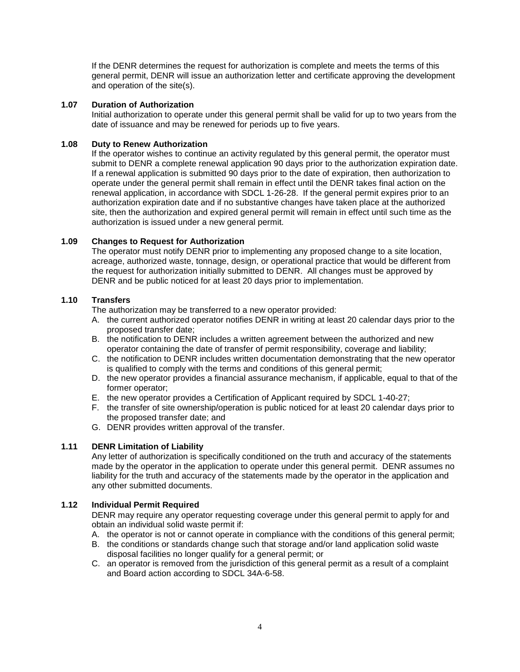If the DENR determines the request for authorization is complete and meets the terms of this general permit, DENR will issue an authorization letter and certificate approving the development and operation of the site(s).

# **1.07 Duration of Authorization**

Initial authorization to operate under this general permit shall be valid for up to two years from the date of issuance and may be renewed for periods up to five years.

### **1.08 Duty to Renew Authorization**

If the operator wishes to continue an activity regulated by this general permit, the operator must submit to DENR a complete renewal application 90 days prior to the authorization expiration date. If a renewal application is submitted 90 days prior to the date of expiration, then authorization to operate under the general permit shall remain in effect until the DENR takes final action on the renewal application, in accordance with SDCL 1-26-28. If the general permit expires prior to an authorization expiration date and if no substantive changes have taken place at the authorized site, then the authorization and expired general permit will remain in effect until such time as the authorization is issued under a new general permit.

## **1.09 Changes to Request for Authorization**

The operator must notify DENR prior to implementing any proposed change to a site location, acreage, authorized waste, tonnage, design, or operational practice that would be different from the request for authorization initially submitted to DENR. All changes must be approved by DENR and be public noticed for at least 20 days prior to implementation.

# **1.10 Transfers**

The authorization may be transferred to a new operator provided:

- A. the current authorized operator notifies DENR in writing at least 20 calendar days prior to the proposed transfer date;
- B. the notification to DENR includes a written agreement between the authorized and new operator containing the date of transfer of permit responsibility, coverage and liability;
- C. the notification to DENR includes written documentation demonstrating that the new operator is qualified to comply with the terms and conditions of this general permit;
- D. the new operator provides a financial assurance mechanism, if applicable, equal to that of the former operator;
- E. the new operator provides a Certification of Applicant required by SDCL 1-40-27;
- F. the transfer of site ownership/operation is public noticed for at least 20 calendar days prior to the proposed transfer date; and
- G. DENR provides written approval of the transfer.

# **1.11 DENR Limitation of Liability**

Any letter of authorization is specifically conditioned on the truth and accuracy of the statements made by the operator in the application to operate under this general permit. DENR assumes no liability for the truth and accuracy of the statements made by the operator in the application and any other submitted documents.

# **1.12 Individual Permit Required**

DENR may require any operator requesting coverage under this general permit to apply for and obtain an individual solid waste permit if:

- A. the operator is not or cannot operate in compliance with the conditions of this general permit;
- B. the conditions or standards change such that storage and/or land application solid waste disposal facilities no longer qualify for a general permit; or
- C. an operator is removed from the jurisdiction of this general permit as a result of a complaint and Board action according to SDCL 34A-6-58.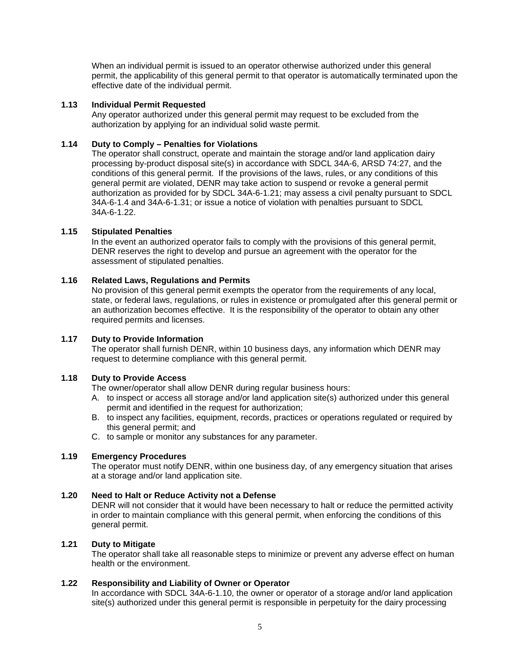When an individual permit is issued to an operator otherwise authorized under this general permit, the applicability of this general permit to that operator is automatically terminated upon the effective date of the individual permit.

# **1.13 Individual Permit Requested**

Any operator authorized under this general permit may request to be excluded from the authorization by applying for an individual solid waste permit.

## **1.14 Duty to Comply – Penalties for Violations**

The operator shall construct, operate and maintain the storage and/or land application dairy processing by-product disposal site(s) in accordance with SDCL 34A-6, ARSD 74:27, and the conditions of this general permit. If the provisions of the laws, rules, or any conditions of this general permit are violated, DENR may take action to suspend or revoke a general permit authorization as provided for by SDCL 34A-6-1.21; may assess a civil penalty pursuant to SDCL 34A-6-1.4 and 34A-6-1.31; or issue a notice of violation with penalties pursuant to SDCL 34A-6-1.22.

## **1.15 Stipulated Penalties**

In the event an authorized operator fails to comply with the provisions of this general permit, DENR reserves the right to develop and pursue an agreement with the operator for the assessment of stipulated penalties.

# **1.16 Related Laws, Regulations and Permits**

No provision of this general permit exempts the operator from the requirements of any local, state, or federal laws, regulations, or rules in existence or promulgated after this general permit or an authorization becomes effective. It is the responsibility of the operator to obtain any other required permits and licenses.

### **1.17 Duty to Provide Information**

The operator shall furnish DENR, within 10 business days, any information which DENR may request to determine compliance with this general permit.

# **1.18 Duty to Provide Access**

The owner/operator shall allow DENR during regular business hours:

- A. to inspect or access all storage and/or land application site(s) authorized under this general permit and identified in the request for authorization;
- B. to inspect any facilities, equipment, records, practices or operations regulated or required by this general permit; and
- C. to sample or monitor any substances for any parameter.

### **1.19 Emergency Procedures**

The operator must notify DENR, within one business day, of any emergency situation that arises at a storage and/or land application site.

### **1.20 Need to Halt or Reduce Activity not a Defense**

DENR will not consider that it would have been necessary to halt or reduce the permitted activity in order to maintain compliance with this general permit, when enforcing the conditions of this general permit.

### **1.21 Duty to Mitigate**

The operator shall take all reasonable steps to minimize or prevent any adverse effect on human health or the environment.

## **1.22 Responsibility and Liability of Owner or Operator**

In accordance with SDCL 34A-6-1.10, the owner or operator of a storage and/or land application site(s) authorized under this general permit is responsible in perpetuity for the dairy processing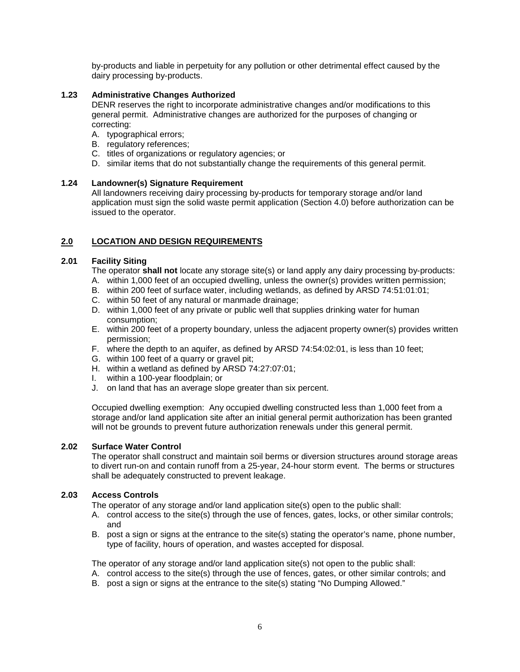by-products and liable in perpetuity for any pollution or other detrimental effect caused by the dairy processing by-products.

# **1.23 Administrative Changes Authorized**

DENR reserves the right to incorporate administrative changes and/or modifications to this general permit. Administrative changes are authorized for the purposes of changing or correcting:

- A. typographical errors;
- B. regulatory references;
- C. titles of organizations or regulatory agencies; or
- D. similar items that do not substantially change the requirements of this general permit.

# **1.24 Landowner(s) Signature Requirement**

All landowners receiving dairy processing by-products for temporary storage and/or land application must sign the solid waste permit application (Section 4.0) before authorization can be issued to the operator.

# **2.0 LOCATION AND DESIGN REQUIREMENTS**

# **2.01 Facility Siting**

The operator **shall not** locate any storage site(s) or land apply any dairy processing by-products:

- A. within 1,000 feet of an occupied dwelling, unless the owner(s) provides written permission;
- B. within 200 feet of surface water, including wetlands, as defined by ARSD 74:51:01:01;
- C. within 50 feet of any natural or manmade drainage;
- D. within 1,000 feet of any private or public well that supplies drinking water for human consumption;
- E. within 200 feet of a property boundary, unless the adjacent property owner(s) provides written permission;
- F. where the depth to an aquifer, as defined by ARSD 74:54:02:01, is less than 10 feet;
- G. within 100 feet of a quarry or gravel pit;
- H. within a wetland as defined by ARSD 74:27:07:01;
- I. within a 100-year floodplain; or
- J. on land that has an average slope greater than six percent.

Occupied dwelling exemption: Any occupied dwelling constructed less than 1,000 feet from a storage and/or land application site after an initial general permit authorization has been granted will not be grounds to prevent future authorization renewals under this general permit.

# **2.02 Surface Water Control**

The operator shall construct and maintain soil berms or diversion structures around storage areas to divert run-on and contain runoff from a 25-year, 24-hour storm event. The berms or structures shall be adequately constructed to prevent leakage.

# **2.03 Access Controls**

The operator of any storage and/or land application site(s) open to the public shall:

- A. control access to the site(s) through the use of fences, gates, locks, or other similar controls; and
- B. post a sign or signs at the entrance to the site(s) stating the operator's name, phone number, type of facility, hours of operation, and wastes accepted for disposal.

The operator of any storage and/or land application site(s) not open to the public shall:

- A. control access to the site(s) through the use of fences, gates, or other similar controls; and
- B. post a sign or signs at the entrance to the site(s) stating "No Dumping Allowed."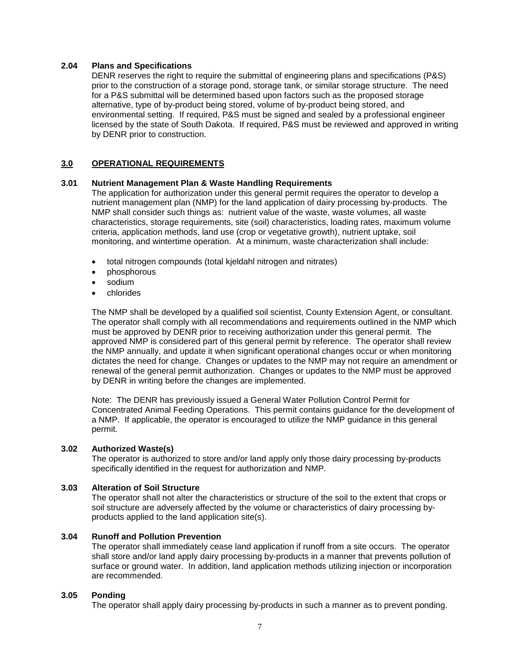### **2.04 Plans and Specifications**

DENR reserves the right to require the submittal of engineering plans and specifications (P&S) prior to the construction of a storage pond, storage tank, or similar storage structure. The need for a P&S submittal will be determined based upon factors such as the proposed storage alternative, type of by-product being stored, volume of by-product being stored, and environmental setting. If required, P&S must be signed and sealed by a professional engineer licensed by the state of South Dakota. If required, P&S must be reviewed and approved in writing by DENR prior to construction.

# **3.0 OPERATIONAL REQUIREMENTS**

## **3.01 Nutrient Management Plan & Waste Handling Requirements**

The application for authorization under this general permit requires the operator to develop a nutrient management plan (NMP) for the land application of dairy processing by-products. The NMP shall consider such things as: nutrient value of the waste, waste volumes, all waste characteristics, storage requirements, site (soil) characteristics, loading rates, maximum volume criteria, application methods, land use (crop or vegetative growth), nutrient uptake, soil monitoring, and wintertime operation. At a minimum, waste characterization shall include:

- total nitrogen compounds (total kjeldahl nitrogen and nitrates)
- phosphorous
- sodium
- chlorides

The NMP shall be developed by a qualified soil scientist, County Extension Agent, or consultant. The operator shall comply with all recommendations and requirements outlined in the NMP which must be approved by DENR prior to receiving authorization under this general permit. The approved NMP is considered part of this general permit by reference. The operator shall review the NMP annually, and update it when significant operational changes occur or when monitoring dictates the need for change. Changes or updates to the NMP may not require an amendment or renewal of the general permit authorization. Changes or updates to the NMP must be approved by DENR in writing before the changes are implemented.

Note: The DENR has previously issued a General Water Pollution Control Permit for Concentrated Animal Feeding Operations. This permit contains guidance for the development of a NMP. If applicable, the operator is encouraged to utilize the NMP guidance in this general permit.

### **3.02 Authorized Waste(s)**

The operator is authorized to store and/or land apply only those dairy processing by-products specifically identified in the request for authorization and NMP.

# **3.03 Alteration of Soil Structure**

The operator shall not alter the characteristics or structure of the soil to the extent that crops or soil structure are adversely affected by the volume or characteristics of dairy processing byproducts applied to the land application site(s).

### **3.04 Runoff and Pollution Prevention**

The operator shall immediately cease land application if runoff from a site occurs. The operator shall store and/or land apply dairy processing by-products in a manner that prevents pollution of surface or ground water. In addition, land application methods utilizing injection or incorporation are recommended.

### **3.05 Ponding**

The operator shall apply dairy processing by-products in such a manner as to prevent ponding.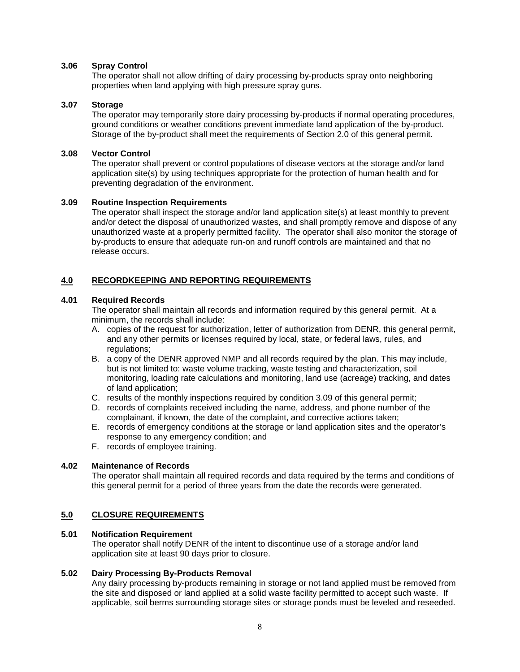### **3.06 Spray Control**

The operator shall not allow drifting of dairy processing by-products spray onto neighboring properties when land applying with high pressure spray guns.

### **3.07 Storage**

The operator may temporarily store dairy processing by-products if normal operating procedures, ground conditions or weather conditions prevent immediate land application of the by-product. Storage of the by-product shall meet the requirements of Section 2.0 of this general permit.

# **3.08 Vector Control**

The operator shall prevent or control populations of disease vectors at the storage and/or land application site(s) by using techniques appropriate for the protection of human health and for preventing degradation of the environment.

## **3.09 Routine Inspection Requirements**

The operator shall inspect the storage and/or land application site(s) at least monthly to prevent and/or detect the disposal of unauthorized wastes, and shall promptly remove and dispose of any unauthorized waste at a properly permitted facility. The operator shall also monitor the storage of by-products to ensure that adequate run-on and runoff controls are maintained and that no release occurs.

# **4.0 RECORDKEEPING AND REPORTING REQUIREMENTS**

# **4.01 Required Records**

The operator shall maintain all records and information required by this general permit. At a minimum, the records shall include:

- A. copies of the request for authorization, letter of authorization from DENR, this general permit, and any other permits or licenses required by local, state, or federal laws, rules, and regulations:
- B. a copy of the DENR approved NMP and all records required by the plan. This may include, but is not limited to: waste volume tracking, waste testing and characterization, soil monitoring, loading rate calculations and monitoring, land use (acreage) tracking, and dates of land application;
- C. results of the monthly inspections required by condition 3.09 of this general permit;
- D. records of complaints received including the name, address, and phone number of the complainant, if known, the date of the complaint, and corrective actions taken;
- E. records of emergency conditions at the storage or land application sites and the operator's response to any emergency condition; and
- F. records of employee training.

# **4.02 Maintenance of Records**

The operator shall maintain all required records and data required by the terms and conditions of this general permit for a period of three years from the date the records were generated.

# **5.0 CLOSURE REQUIREMENTS**

### **5.01 Notification Requirement**

The operator shall notify DENR of the intent to discontinue use of a storage and/or land application site at least 90 days prior to closure.

### **5.02 Dairy Processing By-Products Removal**

Any dairy processing by-products remaining in storage or not land applied must be removed from the site and disposed or land applied at a solid waste facility permitted to accept such waste. If applicable, soil berms surrounding storage sites or storage ponds must be leveled and reseeded.